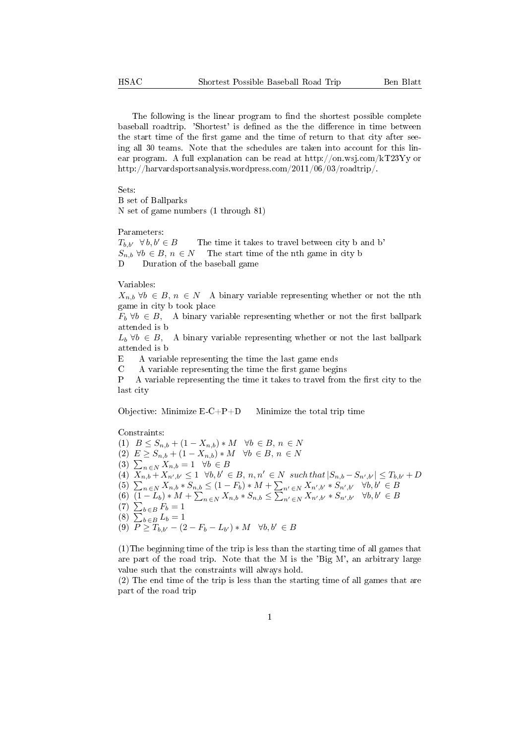The following is the linear program to find the shortest possible complete baseball roadtrip. 'Shortest' is defined as the the difference in time between the start time of the first game and the time of return to that city after seeing all 30 teams. Note that the schedules are taken into account for this linear program. A full explanation can be read at http://on.wsj.com/kT23Yy or http://harvardsportsanalysis.wordpress.com/2011/06/03/roadtrip/.

Sets:

B set of Ballparks N set of game numbers (1 through 81)

## Parameters:

 $T_{b,b'} \quad \forall b, b' \in B$  The time it takes to travel between city b and b'  $S_{n,b}$   $\forall b \in B, n \in N$  The start time of the nth game in city b D Duration of the baseball game

Variables:

 $X_{n,b}$   $\forall b \in B, n \in N$  A binary variable representing whether or not the nth game in city b took place

 $F_b \forall b \in B$ , A binary variable representing whether or not the first ballpark attended is b

 $L_b \forall b \in B$ , A binary variable representing whether or not the last ballpark attended is b

E A variable representing the time the last game ends

 $C$  A variable representing the time the first game begins

 $P$  A variable representing the time it takes to travel from the first city to the last city

Objective: Minimize  $E-C+P+D$  Minimize the total trip time

Constraints:

(1)  $B \leq S_{n,b} + (1 - X_{n,b}) * M \quad \forall b \in B, n \in N$ (2)  $E \ge S_{n,b} + (1 - X_{n,b}) * M \quad \forall b \in B, n \in N$ (3)  $\sum_{n \in \mathbb{N}} X_{n,b} = 1 \quad \forall b \in \mathbb{B}$  $(4)$   $X_{n,b} - X_{n',b'} \leq 1 \quad \forall b,b' \in B, n,n' \in N \text{ such that } |S_{n,b} - S_{n',b'}| \leq T_{b,b'} + D$ (5)  $\sum_{n \in \mathbb{N}} X_{n,b} * S_{n,b} \leq (1 - F_b) * M + \sum_{n' \in \mathbb{N}} X_{n',b'} * S_{n',b'} \quad \forall b, b' \in B$ (6)  $(1-L_b) * M + \sum_{n \in \mathbb{N}} X_{n,b} * S_{n,b} \leq \sum_{n' \in \mathbb{N}} X_{n',b'} * S_{n',b'} * S_{n',b'}$ (7)  $\sum_{b \in B} F_b = 1$ (8)  $\sum_{b \in B} L_b = 1$ (9)  $P \geq T_{b,b'} - (2 - F_b - L_{b'}) * M \quad \forall b,b' \in B$ 

(1)The beginning time of the trip is less than the starting time of all games that are part of the road trip. Note that the M is the 'Big M', an arbitrary large value such that the constraints will always hold.

(2) The end time of the trip is less than the starting time of all games that are part of the road trip